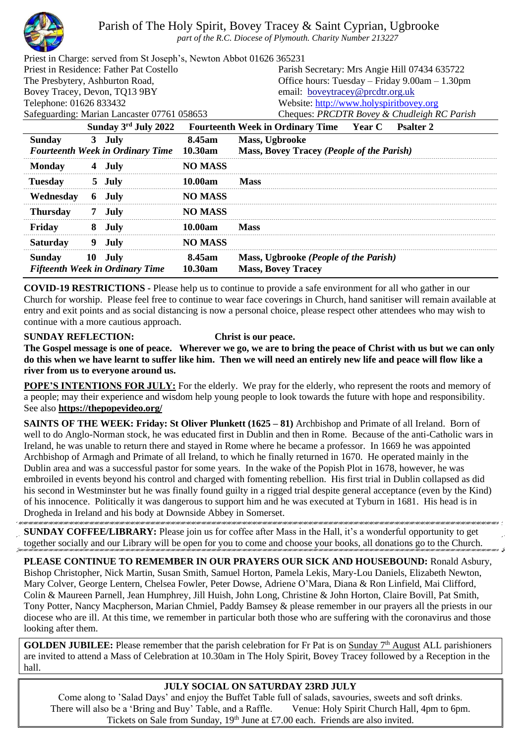

Parish of The Holy Spirit, Bovey Tracey & Saint Cyprian, Ugbrooke

*part of the R.C. Diocese of Plymouth. Charity Number 213227*

| Priest in Charge: served from St Joseph's, Newton Abbot 01626 365231 |                |                                                                              |
|----------------------------------------------------------------------|----------------|------------------------------------------------------------------------------|
| Priest in Residence: Father Pat Costello                             |                | Parish Secretary: Mrs Angie Hill 07434 635722                                |
| The Presbytery, Ashburton Road,                                      |                | Office hours: Tuesday – Friday 9.00am – 1.30pm                               |
| Bovey Tracey, Devon, TQ13 9BY                                        |                | email: boveytracey@prcdtr.org.uk                                             |
| Telephone: 01626 833432                                              |                | Website: http://www.holyspiritbovey.org                                      |
| Safeguarding: Marian Lancaster 07761 058653                          |                | Cheques: PRCDTR Bovey & Chudleigh RC Parish                                  |
| Sunday 3rd July 2022                                                 |                | <b>Fourteenth Week in Ordinary Time</b><br><b>Year C</b><br><b>Psalter 2</b> |
| <b>Sunday</b><br>July<br>3                                           | 8.45am         | Mass, Ugbrooke                                                               |
| <b>Fourteenth Week in Ordinary Time</b>                              | 10.30am        | Mass, Bovey Tracey (People of the Parish)                                    |
| <b>Monday</b><br>July                                                | <b>NO MASS</b> |                                                                              |
| <b>Tuesday</b><br>5 July                                             | 10.00am        | Mass                                                                         |

| Wednesday       | 6 July                                 | <b>NO MASS</b> |                                       |
|-----------------|----------------------------------------|----------------|---------------------------------------|
| <b>Thursday</b> | 7 July                                 | <b>NO MASS</b> |                                       |
| Fridav          | Julv                                   | 10.00am        | <b>Mass</b>                           |
| <b>Saturday</b> | .Julv                                  | <b>NO MASS</b> |                                       |
| Sunday          | - Julv                                 | 8.45am         | Mass, Ugbrooke (People of the Parish) |
|                 | <b>Fifteenth Week in Ordinary Time</b> | 10.30am        | <b>Mass, Bovey Tracey</b>             |

**COVID-19 RESTRICTIONS -** Please help us to continue to provide a safe environment for all who gather in our Church for worship. Please feel free to continue to wear face coverings in Church, hand sanitiser will remain available at entry and exit points and as social distancing is now a personal choice, please respect other attendees who may wish to continue with a more cautious approach.

## **SUNDAY REFLECTION: Christ is our peace.**

**The Gospel message is one of peace. Wherever we go, we are to bring the peace of Christ with us but we can only do this when we have learnt to suffer like him. Then we will need an entirely new life and peace will flow like a river from us to everyone around us.**

**POPE'S INTENTIONS FOR JULY:** For the elderly. We pray for the elderly, who represent the roots and memory of a people; may their experience and wisdom help young people to look towards the future with hope and responsibility. See also **<https://thepopevideo.org/>**

**SAINTS OF THE WEEK: Friday: St Oliver Plunkett (1625 – 81)** Archbishop and Primate of all Ireland. Born of well to do Anglo-Norman stock, he was educated first in Dublin and then in Rome. Because of the anti-Catholic wars in Ireland, he was unable to return there and stayed in Rome where he became a professor. In 1669 he was appointed Archbishop of Armagh and Primate of all Ireland, to which he finally returned in 1670. He operated mainly in the Dublin area and was a successful pastor for some years. In the wake of the Popish Plot in 1678, however, he was embroiled in events beyond his control and charged with fomenting rebellion. His first trial in Dublin collapsed as did his second in Westminster but he was finally found guilty in a rigged trial despite general acceptance (even by the Kind) of his innocence. Politically it was dangerous to support him and he was executed at Tyburn in 1681. His head is in Drogheda in Ireland and his body at Downside Abbey in Somerset.

**SUNDAY COFFEE/LIBRARY:** Please join us for coffee after Mass in the Hall, it's a wonderful opportunity to get together socially and our Library will be open for you to come and choose your books, all donations go to the Church.

**PLEASE CONTINUE TO REMEMBER IN OUR PRAYERS OUR SICK AND HOUSEBOUND:** Ronald Asbury, Bishop Christopher, Nick Martin, Susan Smith, Samuel Horton, Pamela Lekis, Mary-Lou Daniels, Elizabeth Newton, Mary Colver, George Lentern, Chelsea Fowler, Peter Dowse, Adriene O'Mara, Diana & Ron Linfield, Mai Clifford, Colin & Maureen Parnell, Jean Humphrey, Jill Huish, John Long, Christine & John Horton, Claire Bovill, Pat Smith, Tony Potter, Nancy Macpherson, Marian Chmiel, Paddy Bamsey & please remember in our prayers all the priests in our diocese who are ill. At this time, we remember in particular both those who are suffering with the coronavirus and those looking after them.

**GOLDEN JUBILEE:** Please remember that the parish celebration for Fr Pat is on Sunday 7<sup>th</sup> August ALL parishioners are invited to attend a Mass of Celebration at 10.30am in The Holy Spirit, Bovey Tracey followed by a Reception in the hall.

## **JULY SOCIAL ON SATURDAY 23RD JULY**

Come along to 'Salad Days' and enjoy the Buffet Table full of salads, savouries, sweets and soft drinks. There will also be a 'Bring and Buy' Table, and a Raffle. Venue: Holy Spirit Church Hall, 4pm to 6pm. Tickets on Sale from Sunday, 19<sup>th</sup> June at £7.00 each. Friends are also invited.